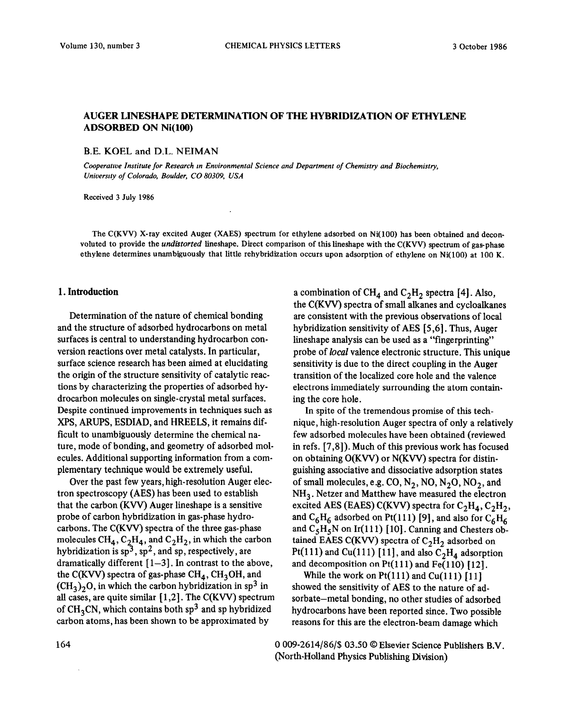# **AUGER LINESHAPE DETERMINATION OF THE HYBRIDIZATION OF ETHYLENE ADSORBED ON Ni(100)**

B.E. KOEL and D.L. NEIMAN

*Cooperatroe Institute for Research m Environmental Science and Department of Chemistry and Biochemistry, Uniuersrty of Colorado, Boulder, CO 80309, USA* 

Received 3 July 1986

The C(KVV) X-ray excited Auger (XAES) spectrum for ethylene adsorbed on Ni(100) has been obtained and deconvoluted to provide the *undistorted* lineshape. Direct comparison of this lineshape with the C(KVV) spectrum of gas-phase ethylene determines unambiguously that little rehybridization occurs upon adsorption of ethylene on Ni(100) at 100 K.

#### **1. Introduction**

Determination of the nature of chemical bonding and the structure of adsorbed hydrocarbons on metal surfaces is central to understanding hydrocarbon conversion reactions over metal catalysts. In particular, surface science research has been aimed at elucidating the origin of the structure sensitivity of catalytic reactions by characterizing the properties of adsorbed hydrocarbon molecules on single-crystal metal surfaces. Despite continued improvements in techniques such as XPS, ARUPS, ESDIAD, and HREELS, it remains difficult to unambiguously determine the chemical nature, mode of bonding, and geometry of adsorbed molecules. Additional supporting information from a complementary technique would be extremely useful.

Over the past few years, high-resolution Auger electron spectroscopy (AES) has been used to establish that the carbon (Kvv) Auger lineshape is a sensitive probe of carbon hybridization in gas-phase hydrocarbons. The C(KVV) spectra of the three gas-phase molecules  $CH_4$ ,  $C_2H_4$ , and  $C_2H_2$ , in which the carbon hybridization is  $sp^3$ ,  $sp^2$ , and sp, respectively, are dramatically different  $[1-3]$ . In contrast to the above, the C(KVV) spectra of gas-phase  $\text{CH}_4$ , CH<sub>3</sub>OH, and  $(\text{CH}_3)_2\text{O}$ , in which the carbon hybridization in sp<sup>3</sup> in all cases, are quite similar [ 1,2]. The C(KW) spectrum of  $CH<sub>3</sub>CN$ , which contains both sp<sup>3</sup> and sp hybridized carbon atoms, has been shown to be approximated by

a combination of CH<sub>4</sub> and C<sub>2</sub>H<sub>2</sub> spectra [4]. Also, the C(KW) spectra of small alkanes and cycloalkanes are consistent with the previous observations of local hybridization sensitivity of AES [5,6]. Thus, Auger lineshape analysis can be used as a "fingerprinting" probe of *local* valence electronic structure. This unique sensitivity is due to the direct coupling in the Auger transition of the localized core hole and the valence electrons immediately surrounding the atom containing the core hole.

In spite of the tremendous promise of this technique, high-resolution Auger spectra of only a relatively few adsorbed molecules have been obtained (reviewed in refs. [7,8]). Much of this previous work has focused on obtaining  $O(KVV)$  or  $N(KVV)$  spectra for distinguishing associative and dissociative adsorption states of small molecules, e.g. CO,  $N_2$ , NO,  $N_2$ O, NO<sub>2</sub>, and  $NH<sub>3</sub>$ . Netzer and Matthew have measured the electron excited AES (EAES) C(KVV) spectra for  $C_2H_4$ ,  $C_2H_2$ , and  $C_6H_6$  adsorbed on Pt(111) [9], and also for  $C_6H_6$ and  $C_5H_5N$  on Ir(111) [10]. Canning and Chesters obtained EAES C(KVV) spectra of  $C_2H_2$  adsorbed on Pt(111) and Cu(111) [11], and also  $C_2H_4$  adsorption and decomposition on  $Pt(111)$  and  $Fe(110)$  [12].

While the work on  $Pt(111)$  and  $Cu(111)$  [11] showed the sensitivity of AES to the nature of adsorbate-metal bonding, no other studies of adsorbed hydrocarbons have been reported since. Two possible reasons for this are the electron-beam damage which

164 0 009-2614/86/\$ 03.50 © Elsevier Science Publishers B.V. (North-Holland Physics Publishing Division)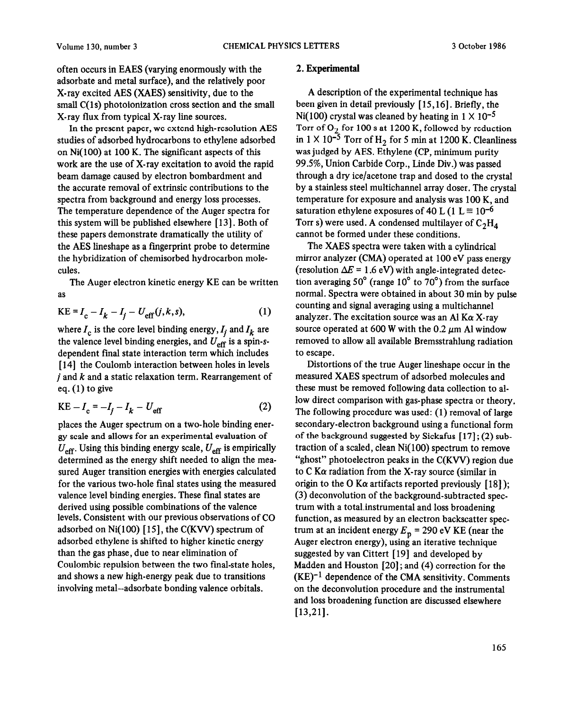often occurs in EAES (varying enormously with the adsorbate and metal surface), and the relatively poor X-ray excited AES (XAES) sensitivity, due to the small  $C(1s)$  photoionization cross section and the small X-ray flux from typical X-ray line sources.

In the present paper, we extend high-resolution AES studies of adsorbed hydrocarbons to ethylene adsorbed on Ni( 100) at 100 K. The significant aspects of this work are the use of X-ray excitation to avoid the rapid beam damage caused by electron bombardment and the accurate removal of extrinsic contributions to the spectra from background and energy loss processes. The temperature dependence of the Auger spectra for this system will be published elsewhere [ 131. Both of these papers demonstrate dramatically the utility of the AES lineshape as a fingerprint probe to determine the hybridization of chemisorbed hydrocarbon molecules.

The Auger electron kinetic energy KE can be written as

$$
KE = I_c - I_k - I_j - U_{eff}(j, k, s),
$$
 (1)

where  $I_c$  is the core level binding energy,  $I_i$  and  $I_k$  are the valence level binding energies, and  $U_{\text{eff}}$  is a spin-sdependent final state interaction term which includes [14] the Coulomb interaction between holes in levels  $j$  and  $k$  and a static relaxation term. Rearrangement of eq.  $(1)$  to give

$$
KE - I_c = -I_f - I_k - U_{eff}
$$
 (2)

places the Auger spectrum on a two-hole binding energy scale and allows for an experimental evaluation of  $U_{\text{eff}}$ . Using this binding energy scale,  $U_{\text{eff}}$  is empirically determined as the energy shift needed to align the measured Auger transition energies with energies calculated for the various two-hole final states using the measured valence level binding energies. These final states are derived using possible combinations of the valence levels. Consistent with our previous observations of CO adsorbed on Ni $(100)$  [15], the C(KVV) spectrum of adsorbed ethylene is shifted to higher kinetic energy than the gas phase, due to near elimination of Coulombic repulsion between the two final-state holes, and shows a new high-energy peak due to transitions involving metal-adsorbate bonding valence orbitals.

## 2. Experimental

A description of the experimental technique has been given in detail previously [15,16]. Briefly, the Ni(100) crystal was cleaned by heating in  $1 \times 10^{-5}$ Torr of  $O_2$  for 100 s at 1200 K, followed by reduction in  $1 \times 10^{-5}$  Torr of H<sub>2</sub> for 5 min at 1200 K. Cleanliness was judged by AES. Ethylene (CP, minimum purity 99.5%, Union Carbide Corp., Linde Div.) was passed through a dry ice/acetone trap and dosed to the crystal by a stainless steel multichannel array doser. The crystal temperature for exposure and analysis was 100 K, and saturation ethylene exposures of 40 L (1 L  $\equiv$  10<sup>-6</sup> Torr s) were used. A condensed multilayer of  $C_2H_d$ cannot be formed under these conditions.

The XAES spectra were taken with a cylindrical mirror analyzer (CMA) operated at 100 eV pass energy (resolution  $\Delta E = 1.6$  eV) with angle-integrated detection averaging  $50^{\circ}$  (range  $10^{\circ}$  to  $70^{\circ}$ ) from the surface normal. Spectra were obtained in about 30 mm by pulse counting and signal averaging using a multichannel analyzer. The excitation source was an Al K $\alpha$  X-ray source operated at 600 W with the  $0.2 \mu m$  Al window removed to allow all available Bremsstrahlung radiation to escape.

Distortions of the true Auger lineshape occur in the measured XAES spectrum of adsorbed molecules and these must be removed following data collection to allow direct comparison with gas-phase spectra or theory. The following procedure was used: (1) removal of large secondary-electron background using a functional form of the background suggested by Sickafus [ 171; (2) subtraction of a scaled, clean  $Ni(100)$  spectrum to remove "ghost" photoelectron peaks in the C(KVV) region due to C  $K\alpha$  radiation from the X-ray source (similar in origin to the O K $\alpha$  artifacts reported previously [18]); (3) deconvolution of the background-subtracted spectrum with a total-instrumental and loss broadening function, as measured by an electron backscatter spectrum at an incident energy  $E_p = 290$  eV KE (near the Auger electron energy), using an iterative technique suggested by van Cittert [19] and developed by Madden and Houston [20] ; and (4) correction for the  $(KE)^{-1}$  dependence of the CMA sensitivity. Comments on the deconvolution procedure and the instrumental and loss broadening function are discussed elsewhere [13,21].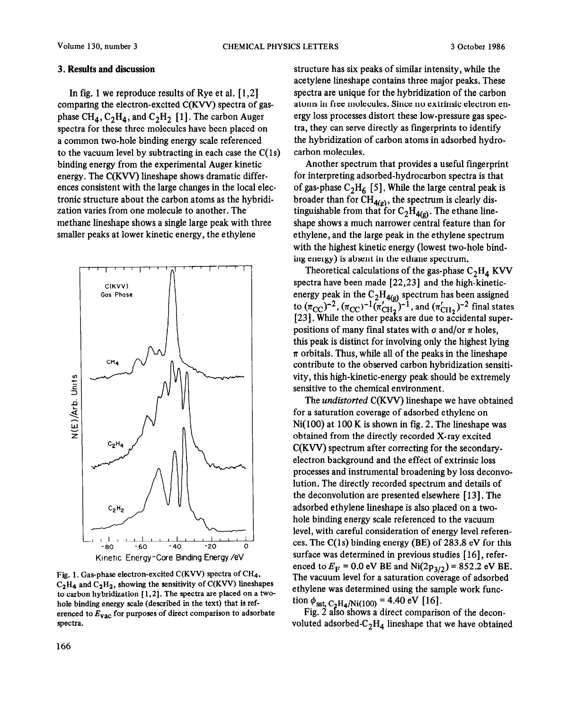#### 3. Results and discussion

In fig. 1 we reproduce results of Rye et al.  $[1,2]$ comparing the electron-excited C(KW) spectra of gasphase CH<sub>4</sub>, C<sub>2</sub>H<sub>4</sub>, and C<sub>2</sub>H<sub>2</sub> [1]. The carbon Auger spectra for these three molecules have been placed on a common two-hole binding energy scale referenced to the vacuum level by subtracting in each case the  $C(1s)$ binding energy from the experimental Auger kinetic energy. The C(KVV) lineshape shows dramatic differences consistent with the large changes in the local electronic structure about the carbon atoms as the hybridization varies from one molecule to another. The methane lineshape shows a single large peak with three smaller peaks at lower kinetic energy, the ethylene



Fig. 1. Gas-phase electron-excited C(KVV) spectra of CH<sub>4</sub>,  $C_2H_4$  and  $C_2H_2$ , showing the sensitivity of C(KVV) lineshapes to carbon hybridization [ 1,2]. The spectra are placed on a twohole binding energy scale (described in the text) that is referenced to  $E_{\text{vac}}$  for purposes of direct comparison to adsorbate spectra.

structure has six peaks of similar intensity, while the acetylene lineshape contains three major peaks. These spectra are unique for the hybridization of the carbon atoms in free molecules. Since no extrinsic electron energy loss processes distort these low-pressure gas spectra, they can serve directly as fingerprints to identify the hybridization of carbon atoms in adsorbed hydrocarbon molecules.

Another spectrum that provides a useful fingerprint for interpreting adsorbed-hydrocarbon spectra is that of gas-phase  $C_2H_6$  [5]. While the large central peak is broader than for  $CH_{4(g)}$ , the spectrum is clearly distinguishable from that for  $C_2H_{4(g)}$ . The ethane lineshape shows a much narrower central feature than for ethylene, and the large peak in the ethylene spectrum with the highest kinetic energy (lowest two-hole binding energy) is absent in the ethane spectrum.

Theoretical calculations of the gas-phase  $C_2H_4$  KVV spectra have been made [22,23] and the high-kineticenergy peak in the  $C_2H_{4(g)}$  spectrum has been assigned to  $(\pi_{\text{CC}})^{-2}$ ,  $(\pi_{\text{CC}})^{-1}(\pi_{\text{CH}_2}^{\prime})^{-1}$ , and  $(\pi_{\text{CH}_2}^{\prime})^{-2}$  final states [23]. While the other peaks are due to accidental superpositions of many final states with  $\sigma$  and/or  $\pi$  holes, this peak is distinct for involving only the highest lying  $\pi$  orbitals. Thus, while all of the peaks in the lineshape contribute to the observed carbon hybridization sensitivity, this high-kinetic-energy peak should be extremely sensitive to the chemical environment.

The *undistorted* C(KVV) lineshape we have obtained for a saturation coverage of adsorbed ethylene on  $Ni(100)$  at 100 K is shown in fig. 2. The lineshape was obtained from the directly recorded X-ray excited C(KW) spectrum after correcting for the secondaryelectron background and the effect of extrinsic loss processes and instrumental broadening by loss deconvolution. The directly recorded spectrum and details of the deconvolution are presented elsewhere [ 131. The adsorbed ethylene lineshape is also placed on a twohole binding energy scale referenced to the vacuum level, with careful consideration of energy level references. The  $C(1s)$  binding energy (BE) of 283.8 eV for this surface was determined in previous studies [16], referenced to  $E_F = 0.0$  eV BE and Ni $(2p_{3/2}) = 852.2$  eV BE. The vacuum level for a saturation coverage of adsorbed ethylene was determined using the sample work function  $\phi_{\text{sat, C-H}_{4}/\text{Ni}(100)} = 4.40 \text{ eV}$  [16].

Fig. 2 also shows a direct comparison of the deconvoluted adsorbed- $C_2H_4$  lineshape that we have obtained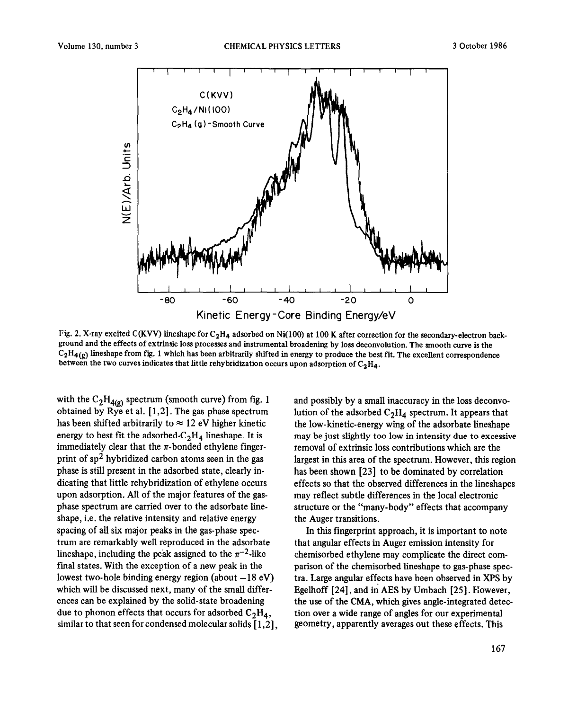

Fig. 2. X-ray excited C(KVV) lineshape for  $C_2H_4$  adsorbed on Ni(100) at 100 K after correction for the secondary-electron background and the effects of extrinsic loss processes and instrumental broadening by loss deconvolution. The smooth curve is the  $C_2H_{4(g)}$  lineshape from fig. 1 which has been arbitrarily shifted in energy to produce the best fit. The excellent correspondence between the two curves indicates that little rehybridization occurs upon adsorption of  $C_2H_4$ .

with the  $C_2H_{4(g)}$  spectrum (smooth curve) from fig. 1 obtained by Rye et al.  $[1,2]$ . The gas-phase spectrum has been shifted arbitrarily to  $\approx$  12 eV higher kinetic energy to best fit the adsorbed- $C_2H_4$  lineshape. It is immediately clear that the  $\pi$ -bonded ethylene fingerprint of  $sp^2$  hybridized carbon atoms seen in the gas phase is still present in the adsorbed state, clearly indicating that little rehybridization of ethylene occurs upon adsorption. All of the major features of the gasphase spectrum are carried over to the adsorbate lineshape, i.e. the relative intensity and relative energy spacing of all six major peaks in the gas-phase spectrum are remarkably well reproduced in the adsorbate lineshape, including the peak assigned to the  $\pi^{-2}$ -like final states. With the exception of a new peak in the lowest two-hole binding energy region (about  $-18$  eV) which will be discussed next, many of the small differences can be explained by the solid-state broadening due to phonon effects that occurs for adsorbed  $C_2H_4$ , similar to that seen for condensed molecular solids [ 1,2],

and possibly by a small inaccuracy in the loss deconvolution of the adsorbed  $C_2H_4$  spectrum. It appears that the low-kinetic-energy wing of the adsorbate lineshape may be just slightly too low in intensity due to excessive removal of extrinsic loss contributions which are the largest in this area of the spectrum. However, this region has been shown [23] to be dominated by correlation effects so that the observed differences in the lineshapes may reflect subtle differences in the local electronic structure or the "many-body" effects that accompany the Auger transitions.

In this fingerprint approach, it is important to note that angular effects in Auger emission intensity for chemisorbed ethylene may complicate the direct comparison of the chemisorbed lineshape to gas-phase spectra. Large angular effects have been observed in XPS by Egelhoff 1241, and in AES by Umbach [25]. However, the use of the CMA, which gives angle-integrated detection over a wide range of angles for our experimental geometry, apparently averages out these effects. This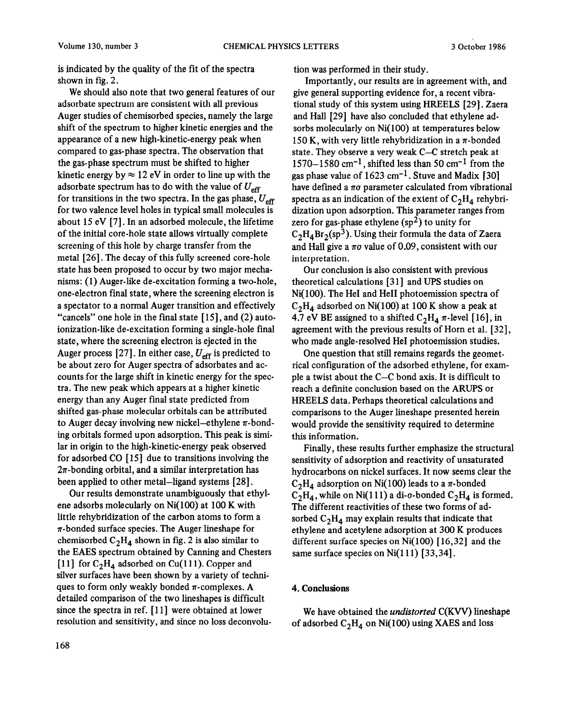is indicated by the quality of the fit of the spectra shown in fig. 2.

We should also note that two general features of our adsorbate spectrum are consistent with all previous Auger studies of chemisorbed species, namely the large shift of the spectrum to higher kinetic energies and the appearance of a new high-kinetic-energy peak when compared to gas-phase spectra. The observation that the gas-phase spectrum must be shifted to higher kinetic energy by  $\approx 12$  eV in order to line up with the adsorbate spectrum has to do with the value of  $U_{\text{eff}}$ for transitions in the two spectra. In the gas phase,  $U_{\text{eff}}$ for two valence level holes in typical small molecules is about 15 eV [7]. In an adsorbed molecule, the lifetime of the initial core-hole state allows virtually complete screening of this hole by charge transfer from the metal [26]. The decay of this fully screened core-hole state has been proposed to occur by two major mechanisms: (1) Auger-like de-excitation forming a two-hole, one-electron final state, where the screening electron is a spectator to a normal Auger transition and effectively "cancels" one hole in the final state  $[15]$ , and  $(2)$  autoionization-like de-excitation forming a single-hole final state, where the screening electron is ejected in the Auger process [27]. In either case,  $U_{\text{eff}}$  is predicted to be about zero for Auger spectra of adsorbates and accounts for the large shift in kinetic energy for the spectra. The new peak which appears at a higher kinetic energy than any Auger final state predicted from shifted gas-phase molecular orbitals can be attributed to Auger decay involving new nickel-ethylene  $\pi$ -bonding orbitals formed upon adsorption. This peak is similar in origin to the high-kinetic-energy peak observed for adsorbed CO [ 151 due to transitions involving the  $2\pi$ -bonding orbital, and a similar interpretation has been applied to other metal-ligand systems [28].

Our results demonstrate unambiguously that ethylene adsorbs molecularly on Ni(lOO) at 100 K with little rehybridization of the carbon atoms to form a  $\pi$ -bonded surface species. The Auger lineshape for chemisorbed  $C_2H_d$  shown in fig. 2 is also similar to the EAES spectrum obtained by Canning and Chesters [11] for  $C_2H_4$  adsorbed on Cu(111). Copper and silver surfaces have been shown by a variety of techniques to form only weakly bonded  $\pi$ -complexes. A detailed comparison of the two lineshapes is difficult since the spectra in ref. [11] were obtained at lower resolution and sensitivity, and since no loss deconvolu-

168

tion was performed in their study.

Importantly, our results are in agreement with, and give general supporting evidence for, a recent vibrational study of this system using HREEIS [29]. Zaera and Hall [29] have also concluded that ethylene adsorbs molecularly on Ni( 100) at temperatures below 150 K, with very little rehybridization in a  $\pi$ -bonded state. They observe a very weak C-C stretch peak at 1570-1580 cm-l, shifted less than 50 cm-l from the gas phase value of  $1623 \text{ cm}^{-1}$ . Stuve and Madix [30] have defined a  $\pi\sigma$  parameter calculated from vibrational spectra as an indication of the extent of  $C_2H_4$  rehybridization upon adsorption. This parameter ranges from zero for gas-phase ethylene  $(sp^2)$  to unity for  $C_2H_4Br_2(sp^3)$ . Using their formula the data of Zaera and Hall give a  $\pi\sigma$  value of 0.09, consistent with our interpretation.

Our conclusion is also consistent with previous theoretical calculations [3 l] and UPS studies on Ni( 100). The He1 and He11 photoemission spectra of  $C_2H_4$  adsorbed on Ni(100) at 100 K show a peak at 4.7 eV BE assigned to a shifted  $C_2H_4 \pi$ -level [16], in agreement with the previous results of Horn et al. [32], who made angle-resolved He1 photoemission studies.

One question that still remains regards the geometrical configuration of the adsorbed ethylene, for example a twist about the C-C bond axis. It is difficult to reach a definite conclusion based on the ARUPS or HREELS data. Perhaps theoretical calculations and comparisons to the Auger lineshape presented herein would provide the sensitivity required to determine this information.

Finally, these results further emphasize the structural sensitivity of adsorption and reactivity of unsaturated hydrocarbons on nickel surfaces. It now seems clear the  $C_2H_a$  adsorption on Ni(100) leads to a  $\pi$ -bonded  $C_2H_4$ , while on Ni(111) a di-*o*-bonded  $C_2H_4$  is formed. The different reactivities of these two forms of adsorbed  $C_2H_4$  may explain results that indicate that ethylene and acetylene adsorption at 300 K produces different surface species on Ni(100) [16,32] and the same surface species on  $Ni(111)$  [33,34].

### 4. **Conclusions**

We have obtained the *undistorted* C(KVV) lineshape of adsorbed  $C_2H_4$  on Ni(100) using XAES and loss